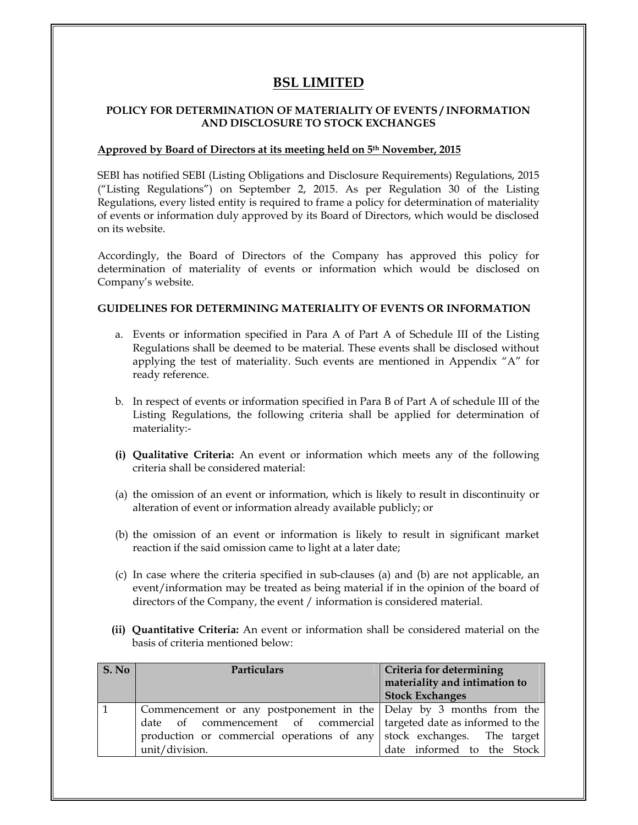# **BSL LIMITED**

#### **POLICY FOR DETERMINATION OF MATERIALITY OF EVENTS / INFORMATION AND DISCLOSURE TO STOCK EXCHANGES**

### **Approved by Board of Directors at its meeting held on 5th November, 2015**

SEBI has notified SEBI (Listing Obligations and Disclosure Requirements) Regulations, 2015 (ìListing Regulationsî) on September 2, 2015. As per Regulation 30 of the Listing Regulations, every listed entity is required to frame a policy for determination of materiality of events or information duly approved by its Board of Directors, which would be disclosed on its website.

Accordingly, the Board of Directors of the Company has approved this policy for determination of materiality of events or information which would be disclosed on Companyís website.

#### **GUIDELINES FOR DETERMINING MATERIALITY OF EVENTS OR INFORMATION**

- a. Events or information specified in Para A of Part A of Schedule III of the Listing Regulations shall be deemed to be material. These events shall be disclosed without applying the test of materiality. Such events are mentioned in Appendix "A" for re regiones comes en<br>ready reference.
- b. In respect of events or information specified in Para B of Part A of schedule III of the Listing Regulations, the following criteria shall be applied for determination of materiality:-
- **(i) Qualitative Criteria:** An event or information which meets any of the following criteria shall be considered material:
- (a) the omission of an event or information, which is likely to result in discontinuity or alteration of event or information already available publicly; or
- (b) the omission of an event or information is likely to result in significant market reaction if the said omission came to light at a later date;
- (c) In case where the criteria specified in sub-clauses (a) and (b) are not applicable, an event/information may be treated as being material if in the opinion of the board of directors of the Company, the event / information is considered material.
- **(ii) Quantitative Criteria:** An event or information shall be considered material on the basis of criteria mentioned below:

| S. No | <b>Particulars</b>                                                                                                                                                                                                                      | Criteria for determining<br>materiality and intimation to<br><b>Stock Exchanges</b> |
|-------|-----------------------------------------------------------------------------------------------------------------------------------------------------------------------------------------------------------------------------------------|-------------------------------------------------------------------------------------|
|       | Commencement or any postponement in the   Delay by 3 months from the<br>date of commencement of commercial targeted date as informed to the<br>production or commercial operations of any stock exchanges. The target<br>unit/division. | date informed to the Stock                                                          |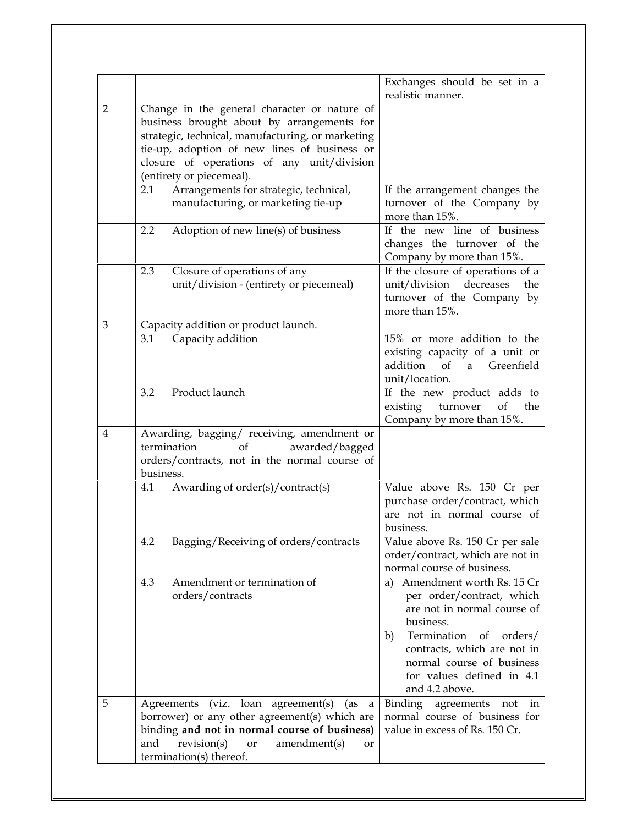|                |                                                                                                                                                                                                                                                                           |                                                                                                                                                                                                                        | Exchanges should be set in a                                                                                                                                                                                                                                                                                                           |
|----------------|---------------------------------------------------------------------------------------------------------------------------------------------------------------------------------------------------------------------------------------------------------------------------|------------------------------------------------------------------------------------------------------------------------------------------------------------------------------------------------------------------------|----------------------------------------------------------------------------------------------------------------------------------------------------------------------------------------------------------------------------------------------------------------------------------------------------------------------------------------|
|                |                                                                                                                                                                                                                                                                           |                                                                                                                                                                                                                        | realistic manner.                                                                                                                                                                                                                                                                                                                      |
| $\overline{2}$ | Change in the general character or nature of<br>business brought about by arrangements for<br>strategic, technical, manufacturing, or marketing<br>tie-up, adoption of new lines of business or<br>closure of operations of any unit/division<br>(entirety or piecemeal). |                                                                                                                                                                                                                        |                                                                                                                                                                                                                                                                                                                                        |
|                | 2.1                                                                                                                                                                                                                                                                       | Arrangements for strategic, technical,<br>manufacturing, or marketing tie-up                                                                                                                                           | If the arrangement changes the<br>turnover of the Company by<br>more than 15%.                                                                                                                                                                                                                                                         |
|                | 2.2                                                                                                                                                                                                                                                                       | Adoption of new line(s) of business                                                                                                                                                                                    | If the new line of business<br>changes the turnover of the<br>Company by more than 15%.                                                                                                                                                                                                                                                |
|                | 2.3                                                                                                                                                                                                                                                                       | Closure of operations of any<br>unit/division - (entirety or piecemeal)                                                                                                                                                | If the closure of operations of a<br>unit/division<br>decreases<br>the<br>turnover of the Company by<br>more than 15%.                                                                                                                                                                                                                 |
| 3              | 3.1                                                                                                                                                                                                                                                                       | Capacity addition or product launch.<br>Capacity addition                                                                                                                                                              | 15% or more addition to the<br>existing capacity of a unit or<br>addition<br>of<br>Greenfield<br>a<br>unit/location.                                                                                                                                                                                                                   |
|                | 3.2                                                                                                                                                                                                                                                                       | Product launch                                                                                                                                                                                                         | If the new product adds to<br>turnover<br>of<br>existing<br>the<br>Company by more than 15%.                                                                                                                                                                                                                                           |
| 4              | Awarding, bagging/ receiving, amendment or<br>awarded/bagged<br>of<br>termination<br>orders/contracts, not in the normal course of<br>business.                                                                                                                           |                                                                                                                                                                                                                        |                                                                                                                                                                                                                                                                                                                                        |
|                | 4.1                                                                                                                                                                                                                                                                       | Awarding of order(s)/contract(s)                                                                                                                                                                                       | Value above Rs. 150 Cr per<br>purchase order/contract, which<br>are not in normal course of<br>business.                                                                                                                                                                                                                               |
|                | 4.2<br>4.3                                                                                                                                                                                                                                                                | Bagging/Receiving of orders/contracts<br>Amendment or termination of<br>orders/contracts                                                                                                                               | Value above Rs. 150 Cr per sale<br>order/contract, which are not in<br>normal course of business.<br>Amendment worth Rs. 15 Cr<br>a)<br>per order/contract, which<br>are not in normal course of<br>business.<br>Termination of orders/<br>b)<br>contracts, which are not in<br>normal course of business<br>for values defined in 4.1 |
| 5              | and                                                                                                                                                                                                                                                                       | Agreements (viz. loan agreement(s)<br>(as<br>a<br>borrower) or any other agreement(s) which are<br>binding and not in normal course of business)<br>revision(s)<br>amendment(s)<br>or<br>or<br>termination(s) thereof. | and 4.2 above.<br>Binding agreements not in<br>normal course of business for<br>value in excess of Rs. 150 Cr.                                                                                                                                                                                                                         |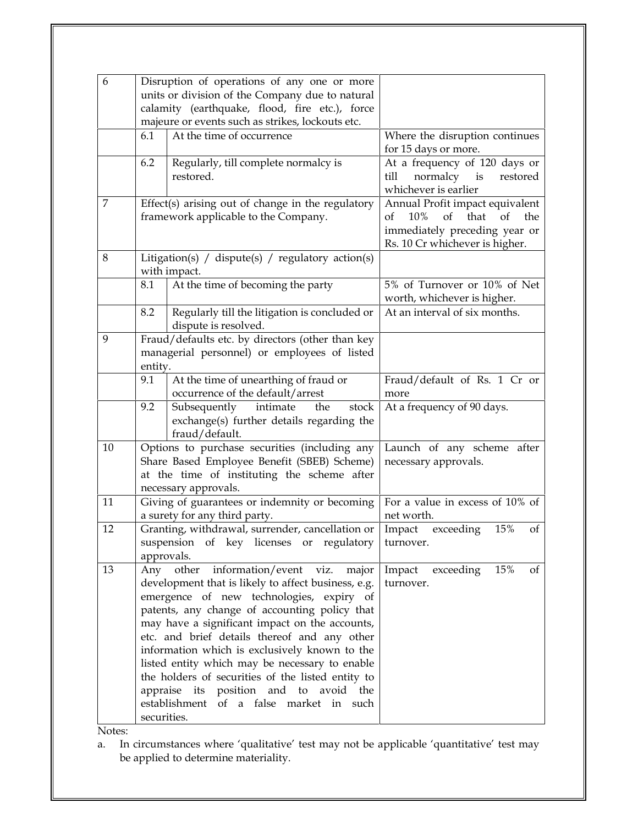| 6  |                                                   | Disruption of operations of any one or more                                       |                                                                 |
|----|---------------------------------------------------|-----------------------------------------------------------------------------------|-----------------------------------------------------------------|
|    |                                                   | units or division of the Company due to natural                                   |                                                                 |
|    |                                                   | calamity (earthquake, flood, fire etc.), force                                    |                                                                 |
|    |                                                   | majeure or events such as strikes, lockouts etc.                                  |                                                                 |
|    | 6.1                                               | At the time of occurrence                                                         | Where the disruption continues<br>for 15 days or more.          |
|    | 6.2                                               | Regularly, till complete normalcy is                                              | At a frequency of 120 days or                                   |
|    |                                                   | restored.                                                                         | till<br>normalcy is<br>restored                                 |
|    |                                                   |                                                                                   | whichever is earlier                                            |
| 7  | Effect(s) arising out of change in the regulatory |                                                                                   | Annual Profit impact equivalent                                 |
|    |                                                   | framework applicable to the Company.                                              | that<br>of<br>of<br>10%<br>$\sigma$ f<br>the                    |
|    |                                                   |                                                                                   | immediately preceding year or<br>Rs. 10 Cr whichever is higher. |
| 8  |                                                   | Litigation(s) / dispute(s) / regulatory action(s)                                 |                                                                 |
|    |                                                   | with impact.                                                                      |                                                                 |
|    | 8.1                                               | At the time of becoming the party                                                 | 5% of Turnover or 10% of Net                                    |
|    | 8.2                                               |                                                                                   | worth, whichever is higher.<br>At an interval of six months.    |
|    |                                                   | Regularly till the litigation is concluded or<br>dispute is resolved.             |                                                                 |
| 9  |                                                   | Fraud/defaults etc. by directors (other than key                                  |                                                                 |
|    |                                                   | managerial personnel) or employees of listed                                      |                                                                 |
|    | entity.                                           |                                                                                   |                                                                 |
|    | 9.1                                               | At the time of unearthing of fraud or                                             | Fraud/default of Rs. 1 Cr or                                    |
|    |                                                   | occurrence of the default/arrest                                                  | more                                                            |
|    | 9.2                                               | Subsequently<br>intimate<br>the<br>stock                                          | At a frequency of 90 days.                                      |
|    |                                                   | exchange(s) further details regarding the<br>fraud/default.                       |                                                                 |
| 10 |                                                   | Options to purchase securities (including any                                     | Launch of any scheme after                                      |
|    |                                                   | Share Based Employee Benefit (SBEB) Scheme)                                       | necessary approvals.                                            |
|    |                                                   | at the time of instituting the scheme after                                       |                                                                 |
|    |                                                   | necessary approvals.                                                              |                                                                 |
| 11 |                                                   | Giving of guarantees or indemnity or becoming                                     | For a value in excess of 10% of                                 |
|    |                                                   | a surety for any third party.                                                     | net worth.                                                      |
| 12 |                                                   | Granting, withdrawal, surrender, cancellation or                                  | 15%<br>Impact<br>exceeding<br>of                                |
|    |                                                   | suspension of key licenses or regulatory                                          | turnover.                                                       |
|    | approvals.                                        |                                                                                   |                                                                 |
| 13 |                                                   | Any other information/event viz.<br>major                                         | 15%<br>Impact<br>exceeding<br>οf                                |
|    |                                                   | development that is likely to affect business, e.g.                               | turnover.                                                       |
|    |                                                   | emergence of new technologies, expiry of                                          |                                                                 |
|    |                                                   | patents, any change of accounting policy that                                     |                                                                 |
|    |                                                   | may have a significant impact on the accounts,                                    |                                                                 |
|    |                                                   | etc. and brief details thereof and any other                                      |                                                                 |
|    |                                                   | information which is exclusively known to the                                     |                                                                 |
|    |                                                   | listed entity which may be necessary to enable                                    |                                                                 |
|    |                                                   | the holders of securities of the listed entity to                                 |                                                                 |
|    |                                                   | appraise its position and to avoid the<br>establishment of a false market in such |                                                                 |
|    | securities.                                       |                                                                                   |                                                                 |
|    |                                                   |                                                                                   |                                                                 |

Notes:

<del>.</del>.<br>In circumstances where 'qualitative' test may not be applicable 'quantitative' test may a.m cheams ances where spannaring<br>be applied to determine materiality.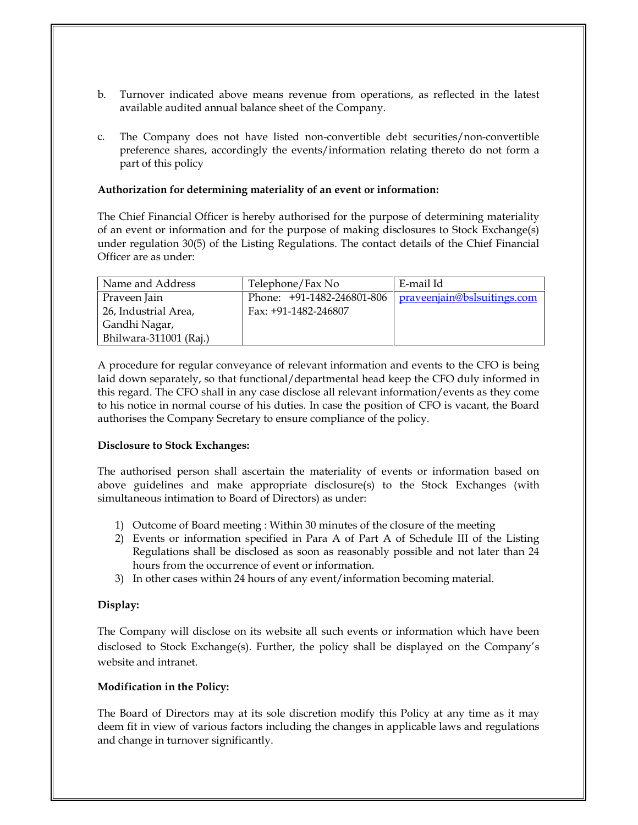- b. Turnover indicated above means revenue from operations, as reflected in the latest available audited annual balance sheet of the Company.
- c. The Company does not have listed non-convertible debt securities/non-convertible preference shares, accordingly the events/information relating thereto do not form a preference shares, according

## **Authorization for determining materiality ofan event or information:**

The Chief Financial Officer is hereby authorised for the purpose of determining materiality of an event or information and forthe purpose of making disclosures to Stock Exchange(s) under regulation 30(5) of the Listing Regulations. The contact details of the Chief Financial Officer are as under:

| Name and Address       | Telephone/Fax No           | E-mail Id                   |
|------------------------|----------------------------|-----------------------------|
| Praveen Jain           | Phone: +91-1482-246801-806 | praveenjain@bslsuitings.com |
| 26, Industrial Area,   | Fax: +91-1482-246807       |                             |
| Gandhi Nagar,          |                            |                             |
| Bhilwara-311001 (Raj.) |                            |                             |

A procedure for regular conveyance of relevant information and events to the CFO is being laid down separately, so that functional/departmental head keep the CFO duly informed in this regard. The CFO shall in any case disclose allrelevant information/events as they come to his notice in normal course of his duties. In case the position of CFO is vacant, the Board authorises the Company Secretary to ensure compliance of the policy.

## **Disclosure to Stock Exchanges:**

The authorised person shall ascertain the materiality of events or information based on above guidelines and make appropriate disclosure(s) to the Stock Exchanges (with simultaneous intimation to Board of Directors) as under:

- 1) Outcome of Board meeting : Within 30 minutes of the closure of the meeting
- 2) Events or information specified in Para A of Part A of Schedule III of the Listing Regulations shall be disclosed as soon as reasonably possible and not later than 24 hours from the occurrence of event or information.
- In other cases within 24 hours of any event/information becoming material.

#### **Display:**

The Company will disclose on its website all such events or information which have been disclosed to Stock Exchange(s). Further, the policy shall be displayed on the Companyís website and intranet.

## **Modification in the Policy:**

The Board of Directors may at its sole discretion modify this Policy at any time as it may deem fit in view of various factors including the changes in applicable laws and regulations and change in turnover significantly.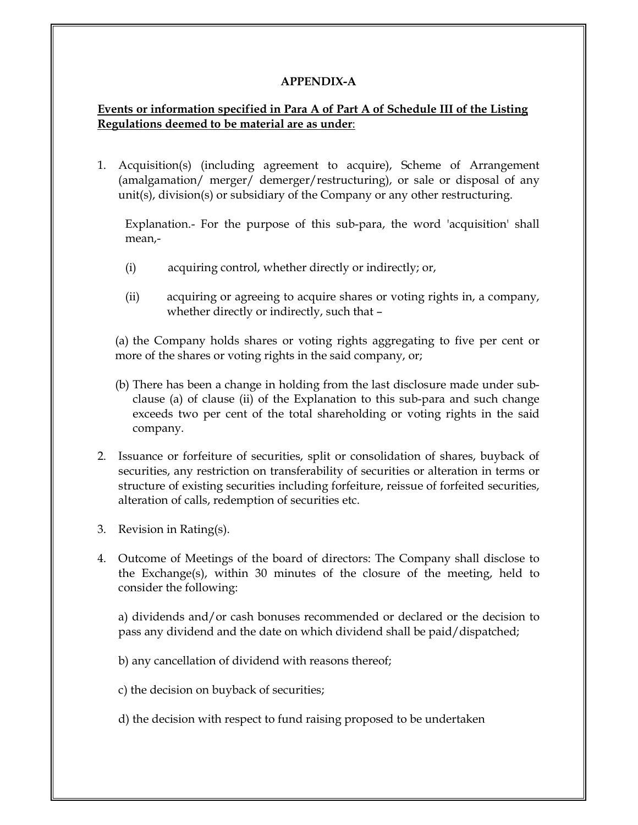#### **APPENDIX-A**

#### **Events or information specified in Para A of PartA of Schedule III of the Listing Regulations deemed to be material are as under**:

1. Acquisition(s) (including agreement to acquire), Scheme of Arrangement (amalgamation/ merger/ demerger/restructuring), or sale or disposal of any unit(s), division(s) or subsidiary of the Company orany other restructuring.

Explanation.- For the purpose of this sub-para, the word 'acquisition' shall mean,-

- (i)acquiring control, whether directly or indirectly; or,
- (ii)acquiring or agreeing to acquire shares or voting rights in, a company, whether directly or indirectly, such that -

(a) the Company holds shares or voting rights aggregating to five per cent or more of the shares or voting rights in the said company, or:

- (b) There has been a change in holding from the last disclosure made under sub-<br>clause (a) of clause (ii) of the Explanation to this sub para and such change (a) of clause (ii) of the Explanation to this sub-para and such change  $\frac{1}{2}$  exceeds two per cent of the total shareholding or voting rights in the said company.
- 2. Issuance or forfeiture of securities, split or consolidation of shares, buyback of securities, any restriction on transferability of securities or alteration in terms or structure of existing securities including forfeiture, reissue of forfeited securities, alteration of calls, redemntion of securities etc. alteration of calls, redemption of securities etc.
- 3. Revision in Rating(s).
- 4. Outcome of Meetings of the board of directors: The Company shall disclose to the Exchange(s), within 30 minutes of the closure of the meeting, held to consider the following:

a) dividends and/or cash bonuses recommended or declared or the decision to particulation and the date on which dividend shall be paid/dispatched:

b) any cancellation of dividend with reasons thereof;

c) the decision on buyback of securities;

d) the decision with respect to fund raising proposed to be undertaken